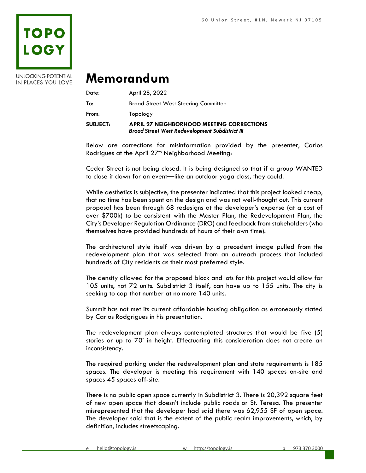

**UNLOCKING POTENTIAL** IN PLACES YOU LOVE

## **Memorandum**

| <b>SUBJECT:</b> | <b>APRIL 27 NEIGHBORHOOD MEETING CORRECTIONS</b><br><b>Broad Street West Redevelopment Subdistrict III</b> |
|-----------------|------------------------------------------------------------------------------------------------------------|
| From:           | Topology                                                                                                   |
| To:             | <b>Broad Street West Steering Committee</b>                                                                |
| Date:           | April 28, 2022                                                                                             |

Below are corrections for misinformation provided by the presenter, Carlos Rodrigues at the April 27<sup>th</sup> Neighborhood Meeting:

Cedar Street is not being closed. It is being designed so that if a group WANTED to close it down for an event—like an outdoor yoga class, they could.

While aesthetics is subjective, the presenter indicated that this project looked cheap, that no time has been spent on the design and was not well-thought out. This current proposal has been through 68 redesigns at the developer's expense (at a cost of over \$700k) to be consistent with the Master Plan, the Redevelopment Plan, the City's Developer Regulation Ordinance (DRO) and feedback from stakeholders (who themselves have provided hundreds of hours of their own time).

The architectural style itself was driven by a precedent image pulled from the redevelopment plan that was selected from an outreach process that included hundreds of City residents as their most preferred style.

The density allowed for the proposed block and lots for this project would allow for 105 units, not 72 units. Subdistrict 3 itself, can have up to 155 units. The city is seeking to cap that number at no more 140 units.

Summit has not met its current affordable housing obligation as erroneously stated by Carlos Rodgrigues in his presentation.

The redevelopment plan always contemplated structures that would be five (5) stories or up to 70' in height. Effectuating this consideration does not create an inconsistency.

The required parking under the redevelopment plan and state requirements is 185 spaces. The developer is meeting this requirement with 140 spaces on-site and spaces 45 spaces off-site.

There is no public open space currently in Subdistrict 3. There is 20,392 square feet of new open space that doesn't include public roads or St. Teresa. The presenter misrepresented that the developer had said there was 62,955 SF of open space. The developer said that is the extent of the public realm improvements, which, by definition, includes streetscaping.